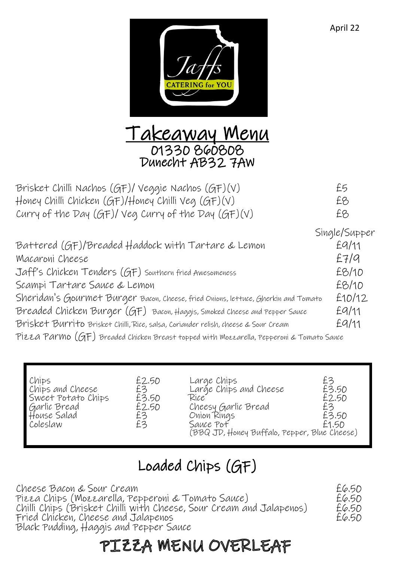



| Brisket Chilli Nachos (GF)/ Veggie Nachos (GF)(V)                                              | £5            |
|------------------------------------------------------------------------------------------------|---------------|
| Honey Chilli Chicken (GF)/Honey Chilli Veg (GF)(V)                                             | £8            |
| Curry of the Day (GF)/ Veg Curry of the Day (GF)(V)                                            | £8            |
|                                                                                                | Single/Supper |
| Battered (GF)/Breaded Haddock with Tartare & Lemon                                             | EQ/11         |
| Macaroni Cheese                                                                                | E7/9          |
| Jaff's Chicken Tenders (GF) Southern fried Awesomeness                                         | £8/10         |
| Scampi Tartare Sauce & Lemon                                                                   | £8/10         |
| Sheridan's Gourmet Burger Bacon, Cheese, fried Onions, lettuce, Gherkin and Tomato             | £10/12        |
| Breaded Chicken Burger (GF) Bacon, Haggis, Smoked Cheese and Pepper Sauce                      | EQ/11         |
| Brisket Burrito Brisket Chilli, Rice, salsa, Coriander relish, cheese & Sour Cream             | EQ/11         |
| PIEZA PAr $m$ O $(GF)$ Breaded Chicken Breast topped with Mozzarella, Pepperoni & Tomato Sauce |               |

| Chips<br>Chips and Cheese<br>Sweet Potato Chips<br>Garlic Bread<br>House Salad<br>Coleslaw | £2.50<br>£3<br>£3.50<br>£2.50<br>£3<br>£3 | Large Chips<br>Large Chips and Cheese<br>Rice<br>Cheesy Garlic Bread<br>Onion Rings<br>Sauce Pof<br>(BBQ JD, Honey Buffalo, Pepper, Blue Cheese) | £3<br>£3.50<br>£2.50<br>£3<br>£3.50<br>£1.50 |
|--------------------------------------------------------------------------------------------|-------------------------------------------|--------------------------------------------------------------------------------------------------------------------------------------------------|----------------------------------------------|
|--------------------------------------------------------------------------------------------|-------------------------------------------|--------------------------------------------------------------------------------------------------------------------------------------------------|----------------------------------------------|

## Loaded Chips (GF)

Cheese Bacon & Sour Cream £6.50 Pizza Chips (Mozzarella, Pepperoni & Tomato Sauce) £6.50 Chilli Chips (Brisket Chilli with Cheese, Sour Cream and Jalapenos)  $E6.50$ <br>Fried Chicken, Cheese and Jalapenos Fried Chicken, Cheese and Jalapenos £6.50 Black Pudding, Haggis and Pepper Sauce

## PIZZA MENU OVERLEAF